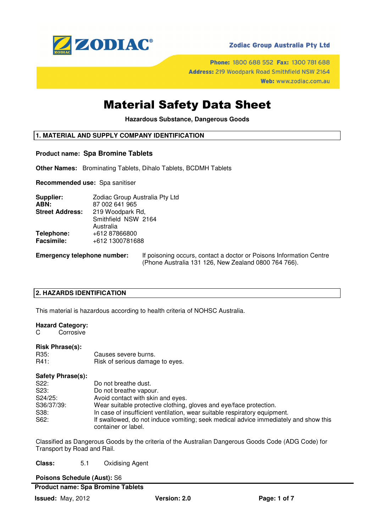

## **Zodiac Group Australia Pty Ltd**

Phone: 1800 688 552 Fax: 1300 781 688 Address: 219 Woodpark Road Smithfield NSW 2164 Web: www.zodiac.com.au

## Material Safety Data Sheet

**Hazardous Substance, Dangerous Goods** 

## **1. MATERIAL AND SUPPLY COMPANY IDENTIFICATION**

#### **Product name: Spa Bromine Tablets**

**Other Names:** Brominating Tablets, Dihalo Tablets, BCDMH Tablets

**Recommended use:** Spa sanitiser

| Supplier:              | Zodiac Group Australia Pty Ltd |
|------------------------|--------------------------------|
| ABN:                   | 87 002 641 965                 |
| <b>Street Address:</b> | 219 Woodpark Rd,               |
|                        | Smithfield NSW 2164            |
|                        | Australia                      |
| Telephone:             | +612 87866800                  |
| <b>Facsimile:</b>      | +612 1300781688                |
|                        |                                |

**Emergency telephone number:** If poisoning occurs, contact a doctor or Poisons Information Centre (Phone Australia 131 126, New Zealand 0800 764 766).

## **2. HAZARDS IDENTIFICATION**

This material is hazardous according to health criteria of NOHSC Australia.

#### **Hazard Category:**

C Corrosive

#### **Risk Phrase(s):**

| R35: | Causes severe burns.            |
|------|---------------------------------|
| R41: | Risk of serious damage to eyes. |

#### **Safety Phrase(s):**

| Do not breathe dust.                                                                                       |
|------------------------------------------------------------------------------------------------------------|
| Do not breathe vapour.                                                                                     |
| Avoid contact with skin and eyes.                                                                          |
| Wear suitable protective clothing, gloves and eye/face protection.                                         |
| In case of insufficient ventilation, wear suitable respiratory equipment.                                  |
| If swallowed, do not induce vomiting; seek medical advice immediately and show this<br>container or label. |
|                                                                                                            |

Classified as Dangerous Goods by the criteria of the Australian Dangerous Goods Code (ADG Code) for Transport by Road and Rail.

**Class:** 5.1 Oxidising Agent

**Poisons Schedule (Aust):** S6

## **Product name: Spa Bromine Tablets**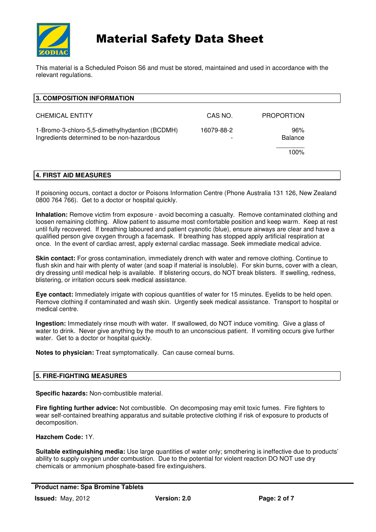

# Material Safety Data Sheet

This material is a Scheduled Poison S6 and must be stored, maintained and used in accordance with the relevant regulations.

| 3. COMPOSITION INFORMATION                                                                   |            |                       |
|----------------------------------------------------------------------------------------------|------------|-----------------------|
| <b>CHEMICAL ENTITY</b>                                                                       | CAS NO.    | <b>PROPORTION</b>     |
| 1-Bromo-3-chloro-5,5-dimethylhydantion (BCDMH)<br>Ingredients determined to be non-hazardous | 16079-88-2 | 96%<br><b>Balance</b> |
|                                                                                              |            | 100%                  |
| 4. FIRST AID MEASURES                                                                        |            |                       |

If poisoning occurs, contact a doctor or Poisons Information Centre (Phone Australia 131 126, New Zealand 0800 764 766). Get to a doctor or hospital quickly.

**Inhalation:** Remove victim from exposure - avoid becoming a casualty. Remove contaminated clothing and loosen remaining clothing. Allow patient to assume most comfortable position and keep warm. Keep at rest until fully recovered. If breathing laboured and patient cyanotic (blue), ensure airways are clear and have a qualified person give oxygen through a facemask. If breathing has stopped apply artificial respiration at once. In the event of cardiac arrest, apply external cardiac massage. Seek immediate medical advice.

**Skin contact:** For gross contamination, immediately drench with water and remove clothing. Continue to flush skin and hair with plenty of water (and soap if material is insoluble). For skin burns, cover with a clean, dry dressing until medical help is available. If blistering occurs, do NOT break blisters. If swelling, redness, blistering, or irritation occurs seek medical assistance.

**Eye contact:** Immediately irrigate with copious quantities of water for 15 minutes. Eyelids to be held open. Remove clothing if contaminated and wash skin. Urgently seek medical assistance. Transport to hospital or medical centre.

**Ingestion:** Immediately rinse mouth with water. If swallowed, do NOT induce vomiting. Give a glass of water to drink. Never give anything by the mouth to an unconscious patient. If vomiting occurs give further water. Get to a doctor or hospital quickly.

**Notes to physician:** Treat symptomatically. Can cause corneal burns.

## **5. FIRE-FIGHTING MEASURES**

**Specific hazards:** Non-combustible material.

**Fire fighting further advice:** Not combustible. On decomposing may emit toxic fumes. Fire fighters to wear self-contained breathing apparatus and suitable protective clothing if risk of exposure to products of decomposition.

#### **Hazchem Code:** 1Y.

**Suitable extinguishing media:** Use large quantities of water only; smothering is ineffective due to products' ability to supply oxygen under combustion. Due to the potential for violent reaction DO NOT use dry chemicals or ammonium phosphate-based fire extinguishers.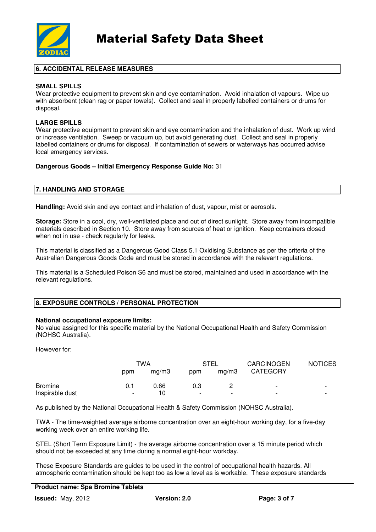

## **6. ACCIDENTAL RELEASE MEASURES**

## **SMALL SPILLS**

Wear protective equipment to prevent skin and eye contamination. Avoid inhalation of vapours. Wipe up with absorbent (clean rag or paper towels). Collect and seal in properly labelled containers or drums for disposal.

## **LARGE SPILLS**

Wear protective equipment to prevent skin and eye contamination and the inhalation of dust. Work up wind or increase ventilation. Sweep or vacuum up, but avoid generating dust. Collect and seal in properly labelled containers or drums for disposal. If contamination of sewers or waterways has occurred advise local emergency services.

#### **Dangerous Goods – Initial Emergency Response Guide No:** 31

#### **7. HANDLING AND STORAGE**

**Handling:** Avoid skin and eye contact and inhalation of dust, vapour, mist or aerosols.

**Storage:** Store in a cool, dry, well-ventilated place and out of direct sunlight. Store away from incompatible materials described in Section 10. Store away from sources of heat or ignition. Keep containers closed when not in use - check regularly for leaks.

This material is classified as a Dangerous Good Class 5.1 Oxidising Substance as per the criteria of the Australian Dangerous Goods Code and must be stored in accordance with the relevant regulations.

This material is a Scheduled Poison S6 and must be stored, maintained and used in accordance with the relevant regulations.

## **8. EXPOSURE CONTROLS / PERSONAL PROTECTION**

#### **National occupational exposure limits:**

No value assigned for this specific material by the National Occupational Health and Safety Commission (NOHSC Australia).

However for:

|                 |     | TWA   |                          | STEL                     | <b>CARCINOGEN</b>        | <b>NOTICES</b>           |
|-----------------|-----|-------|--------------------------|--------------------------|--------------------------|--------------------------|
|                 | ppm | ma/m3 | ppm                      | ma/m3                    | <b>CATEGORY</b>          |                          |
| <b>Bromine</b>  | 0.1 | 0.66  | 0.3                      |                          | $\overline{\phantom{a}}$ | $\overline{\phantom{a}}$ |
| Inspirable dust | -   | 10    | $\overline{\phantom{0}}$ | $\overline{\phantom{a}}$ | ۰                        | $\overline{\phantom{0}}$ |

As published by the National Occupational Health & Safety Commission (NOHSC Australia).

TWA - The time-weighted average airborne concentration over an eight-hour working day, for a five-day working week over an entire working life.

STEL (Short Term Exposure Limit) - the average airborne concentration over a 15 minute period which should not be exceeded at any time during a normal eight-hour workday.

These Exposure Standards are guides to be used in the control of occupational health hazards. All atmospheric contamination should be kept too as low a level as is workable. These exposure standards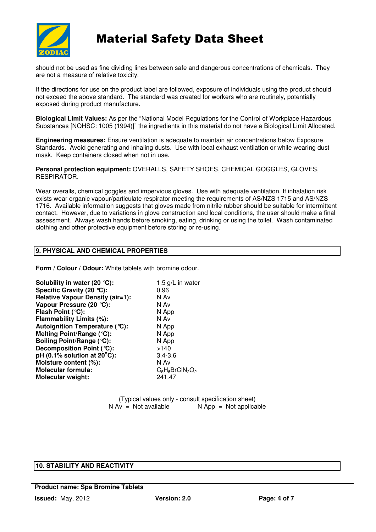

# Material Safety Data Sheet

should not be used as fine dividing lines between safe and dangerous concentrations of chemicals. They are not a measure of relative toxicity.

If the directions for use on the product label are followed, exposure of individuals using the product should not exceed the above standard. The standard was created for workers who are routinely, potentially exposed during product manufacture.

**Biological Limit Values:** As per the "National Model Regulations for the Control of Workplace Hazardous Substances [NOHSC: 1005 (1994)]" the ingredients in this material do not have a Biological Limit Allocated.

**Engineering measures:** Ensure ventilation is adequate to maintain air concentrations below Exposure Standards. Avoid generating and inhaling dusts. Use with local exhaust ventilation or while wearing dust mask. Keep containers closed when not in use.

**Personal protection equipment:** OVERALLS, SAFETY SHOES, CHEMICAL GOGGLES, GLOVES, RESPIRATOR.

Wear overalls, chemical goggles and impervious gloves. Use with adequate ventilation. If inhalation risk exists wear organic vapour/particulate respirator meeting the requirements of AS/NZS 1715 and AS/NZS 1716. Available information suggests that gloves made from nitrile rubber should be suitable for intermittent contact. However, due to variations in glove construction and local conditions, the user should make a final assessment. Always wash hands before smoking, eating, drinking or using the toilet. Wash contaminated clothing and other protective equipment before storing or re-using.

## **9. PHYSICAL AND CHEMICAL PROPERTIES**

**Form / Colour / Odour:** White tablets with bromine odour.

| Solubility in water (20 $°C$ ):         | 1.5 g/L in water   |
|-----------------------------------------|--------------------|
| Specific Gravity (20 °C):               | 0.96               |
| <b>Relative Vapour Density (air=1):</b> | N Av               |
| Vapour Pressure (20 °C):                | N Av               |
| Flash Point (°C):                       | N App              |
| Flammability Limits (%):                | N Av               |
| Autoignition Temperature (°C):          | N App              |
| Melting Point/Range (°C):               | N App              |
| Boiling Point/Range (°C):               | N App              |
| Decomposition Point (°C):               | >140               |
| pH (0.1% solution at $20^{\circ}$ C):   | $3.4 - 3.6$        |
| Moisture content (%):                   | N Av               |
| <b>Molecular formula:</b>               | $C_5H_6BrClN_2O_2$ |
| <b>Molecular weight:</b>                | 241.47             |

(Typical values only - consult specification sheet)<br>  $N Av = Not available$ <br>  $N AOD = Not$  applica  $N$  App = Not applicable

## **10. STABILITY AND REACTIVITY**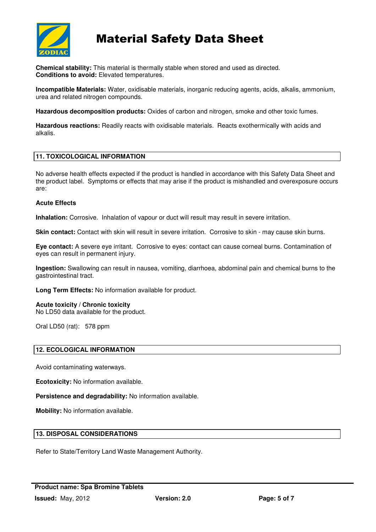

# Material Safety Data Sheet

**Chemical stability:** This material is thermally stable when stored and used as directed. **Conditions to avoid:** Elevated temperatures.

**Incompatible Materials:** Water, oxidisable materials, inorganic reducing agents, acids, alkalis, ammonium, urea and related nitrogen compounds.

**Hazardous decomposition products:** Oxides of carbon and nitrogen, smoke and other toxic fumes.

**Hazardous reactions:** Readily reacts with oxidisable materials. Reacts exothermically with acids and alkalis.

## **11. TOXICOLOGICAL INFORMATION**

No adverse health effects expected if the product is handled in accordance with this Safety Data Sheet and the product label. Symptoms or effects that may arise if the product is mishandled and overexposure occurs are:

#### **Acute Effects**

**Inhalation:** Corrosive. Inhalation of vapour or duct will result may result in severe irritation.

**Skin contact:** Contact with skin will result in severe irritation. Corrosive to skin - may cause skin burns.

**Eye contact:** A severe eye irritant. Corrosive to eyes: contact can cause corneal burns. Contamination of eyes can result in permanent injury.

**Ingestion:** Swallowing can result in nausea, vomiting, diarrhoea, abdominal pain and chemical burns to the gastrointestinal tract.

**Long Term Effects:** No information available for product.

**Acute toxicity / Chronic toxicity** 

No LD50 data available for the product.

Oral LD50 (rat): 578 ppm

## **12. ECOLOGICAL INFORMATION**

Avoid contaminating waterways.

**Ecotoxicity:** No information available.

**Persistence and degradability:** No information available.

**Mobility:** No information available.

## **13. DISPOSAL CONSIDERATIONS**

Refer to State/Territory Land Waste Management Authority.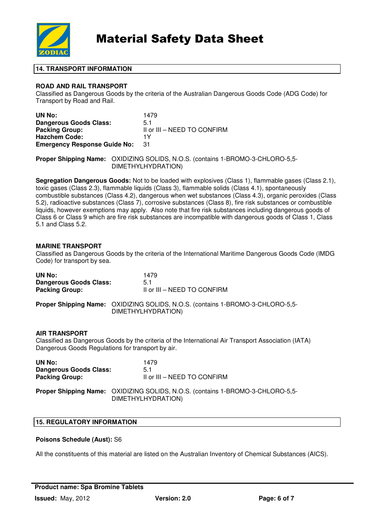

## **14. TRANSPORT INFORMATION**

## **ROAD AND RAIL TRANSPORT**

Classified as Dangerous Goods by the criteria of the Australian Dangerous Goods Code (ADG Code) for Transport by Road and Rail.

| UN No:                              | 1479                        |
|-------------------------------------|-----------------------------|
| Dangerous Goods Class:              | 5.1                         |
| <b>Packing Group:</b>               | II or III - NEED TO CONFIRM |
| <b>Hazchem Code:</b>                | 1٧                          |
| <b>Emergency Response Guide No:</b> | -31                         |

**Proper Shipping Name:** OXIDIZING SOLIDS, N.O.S. (contains 1-BROMO-3-CHLORO-5,5- DIMETHYLHYDRATION)

**Segregation Dangerous Goods:** Not to be loaded with explosives (Class 1), flammable gases (Class 2.1), toxic gases (Class 2.3), flammable liquids (Class 3), flammable solids (Class 4.1), spontaneously combustible substances (Class 4.2), dangerous when wet substances (Class 4.3), organic peroxides (Class 5.2), radioactive substances (Class 7), corrosive substances (Class 8), fire risk substances or combustible liquids, however exemptions may apply. Also note that fire risk substances including dangerous goods of Class 6 or Class 9 which are fire risk substances are incompatible with dangerous goods of Class 1, Class 5.1 and Class 5.2.

#### **MARINE TRANSPORT**

Classified as Dangerous Goods by the criteria of the International Maritime Dangerous Goods Code (IMDG Code) for transport by sea.

| UN No:                                                                    | 1479                                                                                                 |
|---------------------------------------------------------------------------|------------------------------------------------------------------------------------------------------|
| <b>Dangerous Goods Class:</b>                                             | 5.1                                                                                                  |
| <b>Packing Group:</b>                                                     | II or III - NEED TO CONFIRM                                                                          |
|                                                                           | Proper Shipping Name: OXIDIZING SOLIDS, N.O.S. (contains 1-BROMO-3-CHLORO-5,5-<br>DIMETHYLHYDRATION) |
| <b>AIR TRANSPORT</b><br>Dangerous Goods Regulations for transport by air. | Classified as Dangerous Goods by the criteria of the International Air Transport Association (IATA)  |
| UN No:                                                                    | 1479                                                                                                 |
| <b>Dangerous Goods Class:</b>                                             | 5.1                                                                                                  |
| <b>Packing Group:</b>                                                     | II or III - NEED TO CONFIRM                                                                          |
|                                                                           |                                                                                                      |

**Proper Shipping Name:** OXIDIZING SOLIDS, N.O.S. (contains 1-BROMO-3-CHLORO-5,5- DIMETHYLHYDRATION)

## **15. REGULATORY INFORMATION**

#### **Poisons Schedule (Aust):** S6

All the constituents of this material are listed on the Australian Inventory of Chemical Substances (AICS).